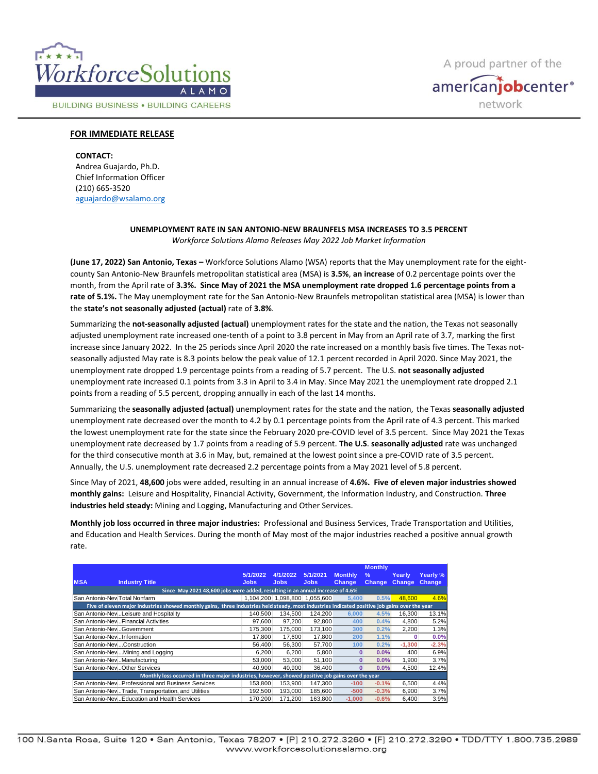

**BUILDING BUSINESS . BUILDING CAREERS** 

A proud partner of the americanjobcenter<sup>®</sup> network

## **FOR IMMEDIATE RELEASE**

**CONTACT:** Andrea Guajardo, Ph.D. Chief Information Officer (210) 665-3520 [aguajardo@wsalamo.org](mailto:aguajardo@wsalamo.org)

## **UNEMPLOYMENT RATE IN SAN ANTONIO-NEW BRAUNFELS MSA INCREASES TO 3.5 PERCENT** *Workforce Solutions Alamo Releases May 2022 Job Market Information*

**(June 17, 2022) San Antonio, Texas –** Workforce Solutions Alamo (WSA) reports that the May unemployment rate for the eightcounty San Antonio-New Braunfels metropolitan statistical area (MSA) is **3.5%**, **an increase** of 0.2 percentage points over the month, from the April rate of **3.3%. Since May of 2021 the MSA unemployment rate dropped 1.6 percentage points from a rate of 5.1%.** The May unemployment rate for the San Antonio-New Braunfels metropolitan statistical area (MSA) is lower than the **state's not seasonally adjusted (actual)** rate of **3.8%**.

Summarizing the **not-seasonally adjusted (actual)** unemployment rates for the state and the nation, the Texas not seasonally adjusted unemployment rate increased one-tenth of a point to 3.8 percent in May from an April rate of 3.7, marking the first increase since January 2022. In the 25 periods since April 2020 the rate increased on a monthly basis five times. The Texas notseasonally adjusted May rate is 8.3 points below the peak value of 12.1 percent recorded in April 2020. Since May 2021, the unemployment rate dropped 1.9 percentage points from a reading of 5.7 percent. The U.S. **not seasonally adjusted** unemployment rate increased 0.1 points from 3.3 in April to 3.4 in May. Since May 2021 the unemployment rate dropped 2.1 points from a reading of 5.5 percent, dropping annually in each of the last 14 months.

Summarizing the **seasonally adjusted (actual)** unemployment rates for the state and the nation, the Texas **seasonally adjusted**  unemployment rate decreased over the month to 4.2 by 0.1 percentage points from the April rate of 4.3 percent. This marked the lowest unemployment rate for the state since the February 2020 pre-COVID level of 3.5 percent. Since May 2021 the Texas unemployment rate decreased by 1.7 points from a reading of 5.9 percent. **The U.S**. **seasonally adjusted** rate was unchanged for the third consecutive month at 3.6 in May, but, remained at the lowest point since a pre-COVID rate of 3.5 percent. Annually, the U.S. unemployment rate decreased 2.2 percentage points from a May 2021 level of 5.8 percent.

Since May of 2021, **48,600** jobs were added, resulting in an annual increase of **4.6%. Five of eleven major industries showed monthly gains:** Leisure and Hospitality, Financial Activity, Government, the Information Industry, and Construction. **Three industries held steady:** Mining and Logging, Manufacturing and Other Services.

**Monthly job loss occurred in three major industries:** Professional and Business Services, Trade Transportation and Utilities, and Education and Health Services. During the month of May most of the major industries reached a positive annual growth rate.

|                                                                                                                                                |                                                     |             |          |                               |                | <b>Monthly</b> |               |               |
|------------------------------------------------------------------------------------------------------------------------------------------------|-----------------------------------------------------|-------------|----------|-------------------------------|----------------|----------------|---------------|---------------|
|                                                                                                                                                |                                                     | 5/1/2022    | 4/1/2022 | 5/1/2021                      | <b>Monthly</b> | $\%$           | Yearly        | Yearly %      |
| <b>MSA</b>                                                                                                                                     | <b>Industry Title</b>                               | <b>Jobs</b> | Jobs     | <b>Jobs</b>                   | Change         | <b>Change</b>  | <b>Change</b> | <b>Change</b> |
| Since May 2021 48,600 jobs were added, resulting in an annual increase of 4.6%                                                                 |                                                     |             |          |                               |                |                |               |               |
| San Antonio-New Total Nonfarm                                                                                                                  |                                                     |             |          | 1,104,200 1,098,800 1,055,600 | 5.400          | 0.5%           | 48.600        | 4.6%          |
| Five of eleven major industries showed monthly gains, three industries held steady, most industries indicated positive job gains over the year |                                                     |             |          |                               |                |                |               |               |
|                                                                                                                                                | San Antonio-Nev Leisure and Hospitality             | 140.500     | 134.500  | 124.200                       | 6.000          | 4.5%           | 16.300        | 13.1%         |
| San Antonio-New Financial Activities                                                                                                           |                                                     | 97.600      | 97.200   | 92.800                        | 400            | 0.4%           | 4.800         | 5.2%          |
| San Antonio-New Government                                                                                                                     |                                                     | 175.300     | 175,000  | 173.100                       | 300            | 0.2%           | 2.200         | 1.3%          |
| San Antonio-New Information                                                                                                                    |                                                     | 17,800      | 17.600   | 17.800                        | 200            | 1.1%           | 0             | 0.0%          |
| San Antonio-New  Construction                                                                                                                  |                                                     | 56.400      | 56,300   | 57.700                        | 100            | 0.2%           | $-1.300$      | $-2.3%$       |
| San Antonio-New  Mining and Logging                                                                                                            |                                                     | 6.200       | 6.200    | 5.800                         | 0              | $0.0\%$        | 400           | 6.9%          |
| San Antonio-New Manufacturing                                                                                                                  |                                                     | 53,000      | 53,000   | 51.100                        | 0              | $0.0\%$        | 1.900         | 3.7%          |
| San Antonio-New Other Services                                                                                                                 |                                                     | 40.900      | 40.900   | 36.400                        | $\Omega$       | $0.0\%$        | 4.500         | 12.4%         |
| Monthly loss occurred in three major industries, however, showed positive job gains over the year                                              |                                                     |             |          |                               |                |                |               |               |
|                                                                                                                                                | San Antonio-New  Professional and Business Services | 153.800     | 153.900  | 147.300                       | $-100$         | $-0.1%$        | 6.500         | 4.4%          |
|                                                                                                                                                | San Antonio-NewTrade, Transportation, and Utilities | 192.500     | 193,000  | 185.600                       | $-500$         | $-0.3%$        | 6.900         | 3.7%          |
|                                                                                                                                                | San Antonio-NewEducation and Health Services        | 170.200     | 171.200  | 163.800                       | $-1.000$       | $-0.6%$        | 6.400         | 3.9%          |